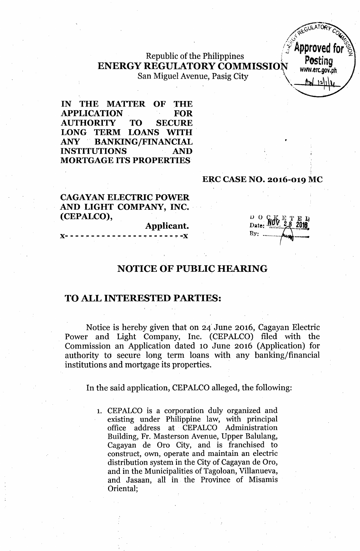### Republic of the Philippines  $\overline{P}_{\text{Ostina}}$ ENERGY REGULATORY COMMISSION www.erc.gov.ph San Miguel Avenue, Pasig City

IN THE MATTER OF THE APPLICATION FOR AUTHORITY TO SECURE LONG TERM LOANS WITH ANY 'BANKING/FINANCIAL INSTITUTIONS AND MORTGAGE ITS PROPERTIES

#### ERC CASE NO. 2016-019 MC

CAGAYAN ELECTRIC POWER AND LIGHT COMPANY, INC. (CEPALCO),

Applicant. x- - ,-- - - - - - - - - - - - ~- - - - - ~-x

 $\frac{D}{D}$  o  $\frac{C}{M}$  $By:$  .......

 $-700$ */,~'" <sup>Q</sup>* /,,-' ~- ( 0 "'7; *. .. . /j~'*Approved for~,

<u>ton 12/11/1</u>

### NOTICE OF PUBLIC HEARING

#### TO ALL INTERESTED PARTIES:

Notice is hereby given that on 24'June 2016, Cagayan Electric Power and Light Company, Inc. (CEPALCO) filed with the Commission an Application dated 10 June 2016 (Application) for authority to secure long term loans with any banking/financial institutions and mortgage its properties.

In the said application, CEPALCO alleged, the following:

1. CEPALCO is a corporation duly organized and existing under Philippine law, with principal office address at CEPALCO Administration Building, Fr. Masterson Avenue, Upper Balulang, Cagayan de Oro City, and is franchised to construct, own, operate and maintain an electric distribution system in the City of Cagayan de Oro, and in the Municipalities of Tagoloan, Villanueva, and Jasaan, all in the Province of Misamis Oriental;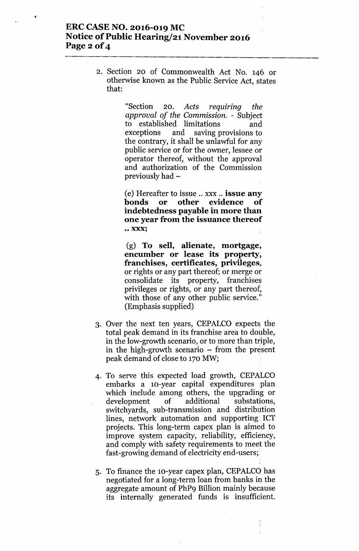## **ERC CASE NO. 2016-019 MC Notice** of Public **Hearing/21 November 2016 Page 2 of 4**

2. Section 20 of Commonwealth Act No. 146 or otherwise known as the Public Service Act, states that:

> "Section 20. Acts requiring the *approval of the Commission. -* Subject to established limitations and exceptions and saving provisions to the contrary, it shall be unlawful for any public service or for the owner, lessee or operator thereof, without the approval and authorization of the Commission previously had -

> (e) Hereafter to issue .. xxx .. **issue any bonds or other evidence of indebtedness payable in more than one year from the issuance thereof •• XXX;**

> (g) **To sell, alienate, mortgage, encumber or lease its property, franchises, certificates, privileges,** or rights or any part thereof; or merge or consolidate its property, franchises privileges or rights, or any part thereof, with those of any other public service." (Emphasis supplied)

- 3. Over the next ten years, CEPALCO expects the total peak demand in its franchise area to double, in the low-growth scenario, or to more than triple, in the high-growth scenario  $-$  from the present peak demand of close to 170 MW;
- 4. To serve this expected load growth, CEPALCO embarks a 10-year capital expenditures plan which include among others, the upgrading or development of additional substations, switchyards, sub-transmission and distribution lines, network automation and supporting: lCT projects. This long-term capex plan is aimed to improve system capacity, reliability, efficiency, and comply with safety requirements to meet the fast-growing demand of electricity end-users;.
- 5. To finance the lo-year capex plan, CEPALCQ has negotiated for a long-term loan from banks in the aggregate amount of PhP9 Billion mainly because its internally generated funds is insufficient.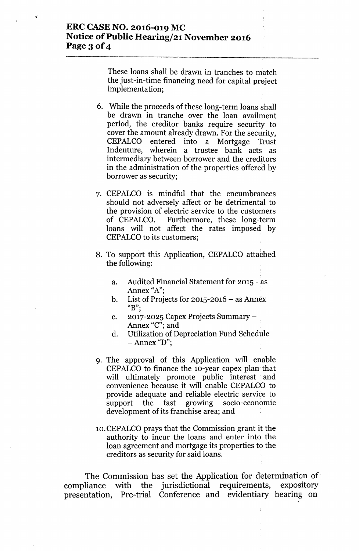## **ERC CASE NO. 2016-019 MC Notice of Public Hearing/21 November 2016** Page 3 **of 4**

These loans shall be drawn in tranches to match the just-in-time financing need for capital project implementation;

- 6. While the proceeds of these long-term loans shall be drawn in tranche over the loan availment period, the creditor banks require security to cover the amount already drawn. For the security, CEPALCO entered into a Mortgage Trust Indenture, wherein a trustee bank acts as intermediary between borrower and the creditors in the administration of the properties offered by borrower as security;
- 7. CEPALCO is mindful that the encumbrances should not adversely affect or he detrimental to the provision of electric service to the customers of CEPALCO. Furthermore, these long-term loans will not affect the rates imposed by CEPALCO to its customers;
- 8. To support this Application, CEPALCO attached the following:
	- a. Audited Financial Statement for 2015 as Annex "A";
	- b. List of Projects for  $2015 2016 8$  Annex **"B".**,
	- c. 2017-2025 Capex Projects Summary-Annex "C"; and
	- d. Utilization of Depreciation Fund Schedule - Annex "D";
- 9. The approval of this Application will enable CEPALCO to finance the 10-year capex plan'that will ultimately promote public interest and convenience because it will enable CEPALCO to provide adequate and reliable electric service to support the fast growing socio-economic development of its franchise area; and
- 10.CEPALCO prays that the Commission grant it the authority to incur the loans and enter into the loan agreement and mortgage its properties to the creditors as security for said loans.

The Commission has set the Application for determination of compliance with the jurisdictional requirements, expository presentation, Pre-trial Conference and evidentiary hearing on